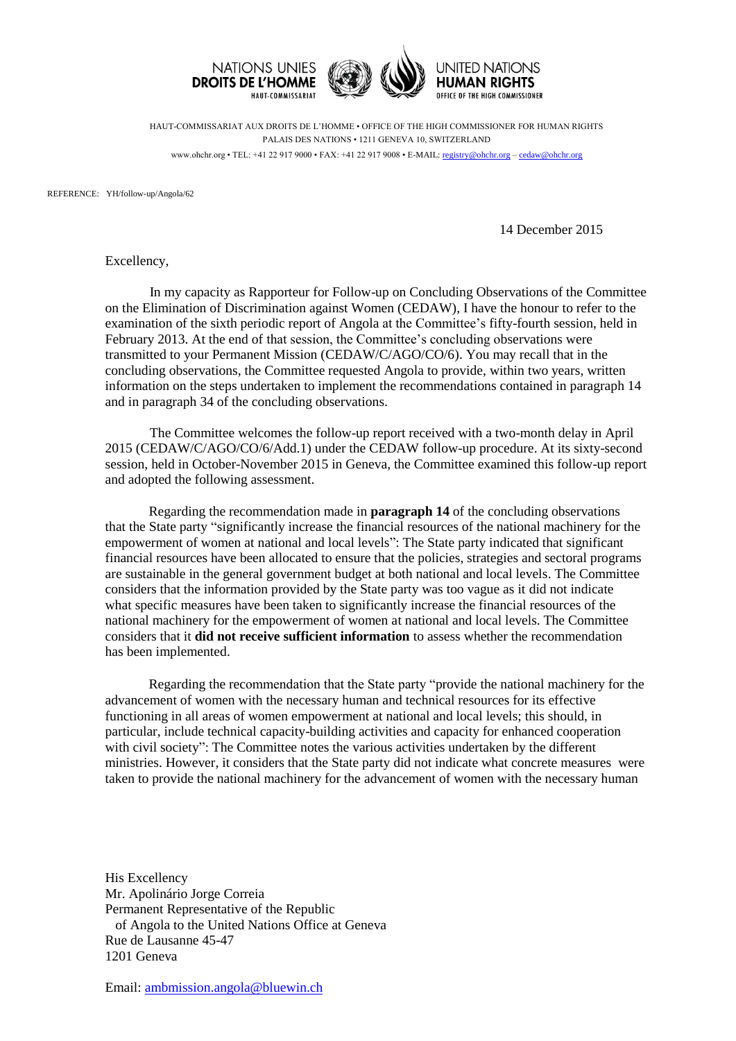

HAUT-COMMISSARIAT AUX DROITS DE L'HOMME • OFFICE OF THE HIGH COMMISSIONER FOR HUMAN RIGHTS PALAIS DES NATIONS • 1211 GENEVA 10, SWITZERLAND www.ohchr.org • TEL: +41 22 917 9000 • FAX: +41 22 917 9008 • E-MAIL: [registry@ohchr.org](mailto:registry@ohchr.org) – [cedaw@ohchr.org](mailto:cedaw@ohchr.org)

REFERENCE: YH/follow-up/Angola/62

14 December 2015

Excellency,

In my capacity as Rapporteur for Follow-up on Concluding Observations of the Committee on the Elimination of Discrimination against Women (CEDAW), I have the honour to refer to the examination of the sixth periodic report of Angola at the Committee's fifty-fourth session, held in February 2013. At the end of that session, the Committee's concluding observations were transmitted to your Permanent Mission (CEDAW/C/AGO/CO/6). You may recall that in the concluding observations, the Committee requested Angola to provide, within two years, written information on the steps undertaken to implement the recommendations contained in paragraph 14 and in paragraph 34 of the concluding observations.

The Committee welcomes the follow-up report received with a two-month delay in April 2015 (CEDAW/C/AGO/CO/6/Add.1) under the CEDAW follow-up procedure. At its sixty-second session, held in October-November 2015 in Geneva, the Committee examined this follow-up report and adopted the following assessment.

Regarding the recommendation made in **paragraph 14** of the concluding observations that the State party "significantly increase the financial resources of the national machinery for the empowerment of women at national and local levels": The State party indicated that significant financial resources have been allocated to ensure that the policies, strategies and sectoral programs are sustainable in the general government budget at both national and local levels. The Committee considers that the information provided by the State party was too vague as it did not indicate what specific measures have been taken to significantly increase the financial resources of the national machinery for the empowerment of women at national and local levels. The Committee considers that it **did not receive sufficient information** to assess whether the recommendation has been implemented.

Regarding the recommendation that the State party "provide the national machinery for the advancement of women with the necessary human and technical resources for its effective functioning in all areas of women empowerment at national and local levels; this should, in particular, include technical capacity-building activities and capacity for enhanced cooperation with civil society": The Committee notes the various activities undertaken by the different ministries. However, it considers that the State party did not indicate what concrete measures were taken to provide the national machinery for the advancement of women with the necessary human

His Excellency Mr. Apolinário Jorge Correia Permanent Representative of the Republic of Angola to the United Nations Office at Geneva Rue de Lausanne 45-47 1201 Geneva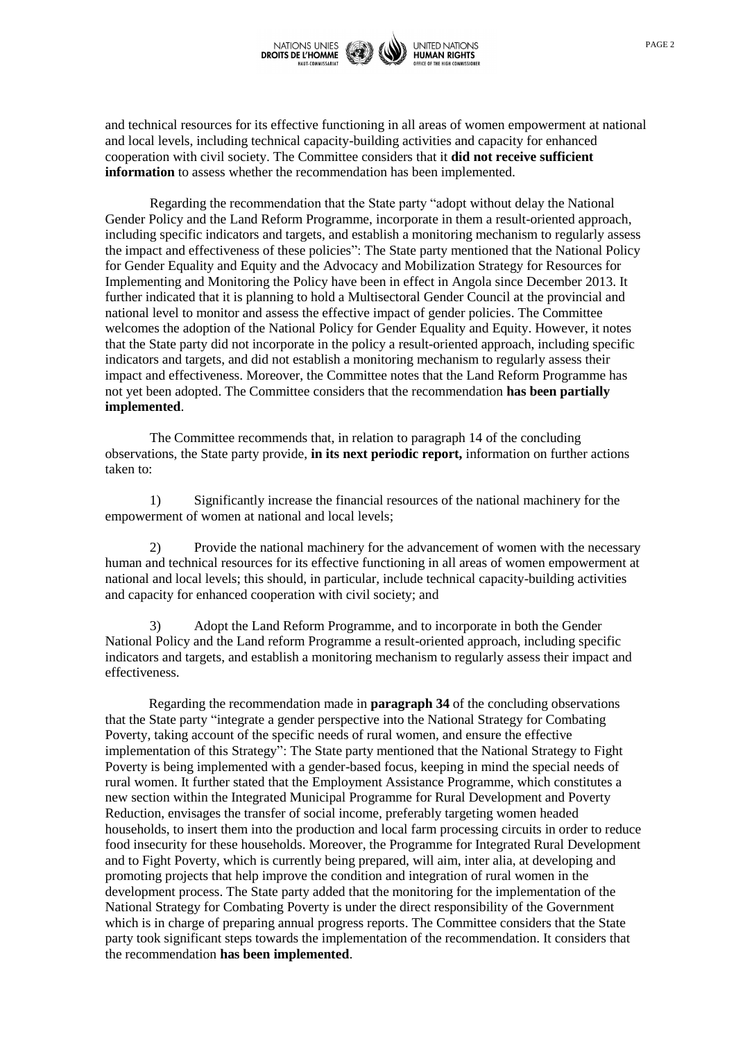

and technical resources for its effective functioning in all areas of women empowerment at national and local levels, including technical capacity-building activities and capacity for enhanced cooperation with civil society. The Committee considers that it **did not receive sufficient information** to assess whether the recommendation has been implemented.

Regarding the recommendation that the State party "adopt without delay the National Gender Policy and the Land Reform Programme, incorporate in them a result-oriented approach, including specific indicators and targets, and establish a monitoring mechanism to regularly assess the impact and effectiveness of these policies": The State party mentioned that the National Policy for Gender Equality and Equity and the Advocacy and Mobilization Strategy for Resources for Implementing and Monitoring the Policy have been in effect in Angola since December 2013. It further indicated that it is planning to hold a Multisectoral Gender Council at the provincial and national level to monitor and assess the effective impact of gender policies. The Committee welcomes the adoption of the National Policy for Gender Equality and Equity. However, it notes that the State party did not incorporate in the policy a result-oriented approach, including specific indicators and targets, and did not establish a monitoring mechanism to regularly assess their impact and effectiveness. Moreover, the Committee notes that the Land Reform Programme has not yet been adopted. The Committee considers that the recommendation **has been partially implemented**.

The Committee recommends that, in relation to paragraph 14 of the concluding observations, the State party provide, **in its next periodic report,** information on further actions taken to:

1) Significantly increase the financial resources of the national machinery for the empowerment of women at national and local levels;

2) Provide the national machinery for the advancement of women with the necessary human and technical resources for its effective functioning in all areas of women empowerment at national and local levels; this should, in particular, include technical capacity-building activities and capacity for enhanced cooperation with civil society; and

3) Adopt the Land Reform Programme, and to incorporate in both the Gender National Policy and the Land reform Programme a result-oriented approach, including specific indicators and targets, and establish a monitoring mechanism to regularly assess their impact and effectiveness.

Regarding the recommendation made in **paragraph 34** of the concluding observations that the State party "integrate a gender perspective into the National Strategy for Combating Poverty, taking account of the specific needs of rural women, and ensure the effective implementation of this Strategy": The State party mentioned that the National Strategy to Fight Poverty is being implemented with a gender-based focus, keeping in mind the special needs of rural women. It further stated that the Employment Assistance Programme, which constitutes a new section within the Integrated Municipal Programme for Rural Development and Poverty Reduction, envisages the transfer of social income, preferably targeting women headed households, to insert them into the production and local farm processing circuits in order to reduce food insecurity for these households. Moreover, the Programme for Integrated Rural Development and to Fight Poverty, which is currently being prepared, will aim, inter alia, at developing and promoting projects that help improve the condition and integration of rural women in the development process. The State party added that the monitoring for the implementation of the National Strategy for Combating Poverty is under the direct responsibility of the Government which is in charge of preparing annual progress reports. The Committee considers that the State party took significant steps towards the implementation of the recommendation. It considers that the recommendation **has been implemented**.